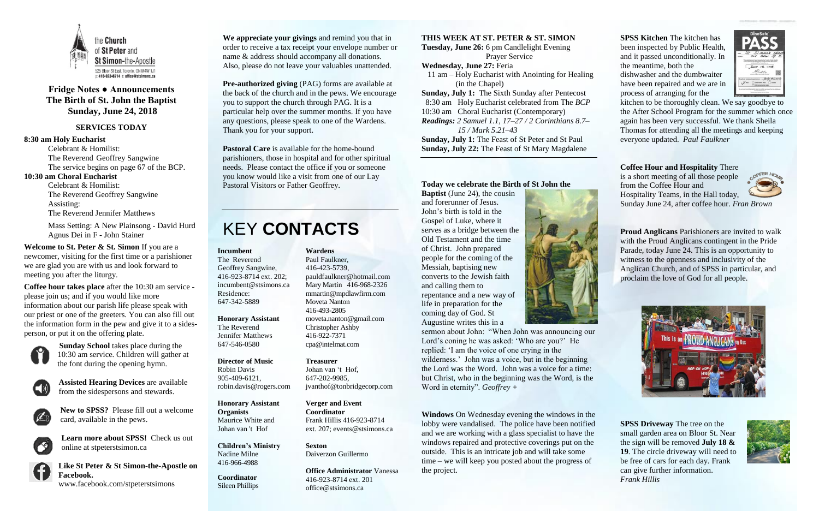

### **Fridge Notes ● Announcements The Birth of St. John the Baptist Sunday, June 24, 2018**

#### **SERVICES TODAY**

#### **8:30 am Holy Eucharist**

Celebrant & Homilist: The Reverend Geoffrey Sangwine The service begins on page 67 of the BCP. **10:30 am Choral Eucharist**

Celebrant & Homilist: The Reverend Geoffrey Sangwine Assisting: The Reverend Jennifer Matthews

Mass Setting: A New Plainsong - David Hurd Agnus Dei in F - John Stainer

**Welcome to St. Peter & St. Simon** If you are a newcomer, visiting for the first time or a parishioner we are glad you are with us and look forward to meeting you after the liturgy.

**Coffee hour takes place** after the 10:30 am service please join us; and if you would like more information about our parish life please speak with our priest or one of the greeters. You can also fill out the information form in the pew and give it to a sidesperson, or put it on the offering plate.



**Sunday School** takes place during the 10:30 am service. Children will gather at the font during the opening hymn.



**Assisted Hearing Devices** are available from the sidespersons and stewards.



**New to SPSS?** Please fill out a welcome card, available in the pews.

**Learn more about SPSS!** Check us out online at stpeterstsimon.ca

**Like St Peter & St Simon-the-Apostle on Facebook.** 

www.facebook.com/stpeterstsimons

**We appreciate your givings** and remind you that in order to receive a tax receipt your envelope number or name & address should accompany all donations. Also, please do not leave your valuables unattended.

**Pre-authorized giving** (PAG) forms are available at the back of the church and in the pews. We encourage you to support the church through PAG. It is a particular help over the summer months. If you have any questions, please speak to one of the Wardens. Thank you for your support.

**Pastoral Care** is available for the home-bound parishioners, those in hospital and for other spiritual needs. Please contact the office if you or someone you know would like a visit from one of our Lay Pastoral Visitors or Father Geoffrey.

## KEY **CONTACTS**

#### **THIS WEEK AT ST. PETER & ST. SIMON**

**Tuesday, June 26:** 6 pm Candlelight Evening Prayer Service **Wednesday, June 27:** Feria 11 am – Holy Eucharist with Anointing for Healing (in the Chapel) **Sunday, July 1:** The Sixth Sunday after Pentecost 8:30 am Holy Eucharist celebrated from The *BCP* 10:30 am Choral Eucharist (Contemporary) *Readings: 2 Samuel 1.1, 17–27 / 2 Corinthians 8.7– 15 / Mark 5.21–43* **Sunday, July 1:** The Feast of St Peter and St Paul **Sunday, July 22:** The Feast of St Mary Magdalene

#### **Today we celebrate the Birth of St John the**

**Baptist** (June 24), the cousin and forerunner of Jesus. John's birth is told in the Gospel of Luke, where it serves as a bridge between the Old Testament and the time of Christ. John prepared people for the coming of the Messiah, baptising new converts to the Jewish faith and calling them to repentance and a new way of life in preparation for the coming day of God. St Augustine writes this in a



sermon about John: "When John was announcing our Lord's coning he was asked: 'Who are you?' He replied: 'I am the voice of one crying in the wilderness.' John was a voice, but in the beginning the Lord was the Word. John was a voice for a time: but Christ, who in the beginning was the Word, is the Word in eternity". *Geoffrey +*

**Windows** On Wednesday evening the windows in the lobby were vandalised. The police have been notified and we are working with a glass specialist to have the windows repaired and protective coverings put on the outside. This is an intricate job and will take some time – we will keep you posted about the progress of the project.

**SPSS Kitchen** The kitchen has been inspected by Public Health, and it passed unconditionally. In the meantime, both the dishwasher and the dumbwaiter have been repaired and we are in process of arranging for the



kitchen to be thoroughly clean. We say goodbye to the After School Program for the summer which once again has been very successful. We thank Sheila Thomas for attending all the meetings and keeping everyone updated. *Paul Faulkner*

**Coffee Hour and Hospitality** There is a short meeting of all those people from the Coffee Hour and Hospitality Teams, in the Hall today, Sunday June 24, after coffee hour. *Fran Brown*

**Proud Anglicans** Parishioners are invited to walk with the Proud Anglicans contingent in the Pride Parade, today June 24. This is an opportunity to witness to the openness and inclusivity of the Anglican Church, and of SPSS in particular, and proclaim the love of God for all people.



**SPSS Driveway** The tree on the small garden area on Bloor St. Near the sign will be removed **July 18 & 19**. The circle driveway will need to be free of cars for each day. Frank can give further information. *Frank Hillis*



**Incumbent**  The Reverend Geoffrey Sangwine, 416-923-8714 ext. 202; incumbent@stsimons.ca Residence: 647-342-5889

**Honorary Assistant** The Reverend Jennifer Matthews 647-546-0580

#### **Director of Music**

Robin Davis 905-409-6121, robin.davis@rogers.com

**Honorary Assistant Organists**  Maurice White and Johan van 't Hof

**Children's Ministry** Nadine Milne 416-966-4988

**Coordinator** Sileen Phillips

**Wardens**  Paul Faulkner, 416-423-5739, [pauldfaulkner@hotmail.com](mailto:pauldfaulkner@hotmail.com)  Mary Martin 416-968-2326 mmartin@mpdlawfirm.com Moveta Nanton 416-493-2805 moveta.nanton@gmail.com Christopher Ashby 416-922-7371 cpa@intelmat.com

#### **Treasurer**

Johan van 't Hof, 647-202-9985, jvanthof@tonbridgecorp.com

**Verger and Event Coordinator** Frank Hillis 416-923-8714 ext. 207; events@stsimons.ca

**Sexton** Daiverzon Guillermo

**Office Administrator** Vanessa 416-923-8714 ext. 201 office@stsimons.ca